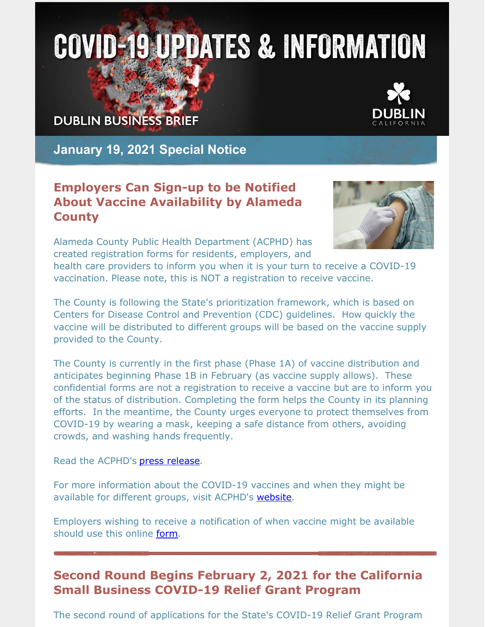# **COVID-19 UPDATES & INFORMATION**

**DUBLIN BUSINESS BRIEF** 



**January 19, 2021 Special Notice**

### **Employers Can Sign-up to be Notified About Vaccine Availability by Alameda County**

Alameda County Public Health Department (ACPHD) has created registration forms for residents, employers, and



health care providers to inform you when it is your turn to receive a COVID-19 vaccination. Please note, this is NOT a registration to receive vaccine.

The County is following the State's prioritization framework, which is based on Centers for Disease Control and Prevention (CDC) guidelines. How quickly the vaccine will be distributed to different groups will be based on the vaccine supply provided to the County.

The County is currently in the first phase (Phase 1A) of vaccine distribution and anticipates beginning Phase 1B in February (as vaccine supply allows). These confidential forms are not a registration to receive a vaccine but are to inform you of the status of distribution. Completing the form helps the County in its planning efforts. In the meantime, the County urges everyone to protect themselves from COVID-19 by wearing a mask, keeping a safe distance from others, avoiding crowds, and washing hands frequently.

Read the ACPHD's **press release**.

For more information about the COVID-19 vaccines and when they might be available for different groups, visit ACPHD's [website](https://covid-19.acgov.org/vaccines#localplanning).

Employers wishing to receive a notification of when vaccine might be available should use this online [form](https://app.smartsheet.com/b/form/9cfb6b1f2b644405b4c5b919204596a5).

## **Second Round Begins February 2, 2021 for the California Small Business COVID-19 Relief Grant Program**

The second round of applications for the State's COVID-19 Relief Grant Program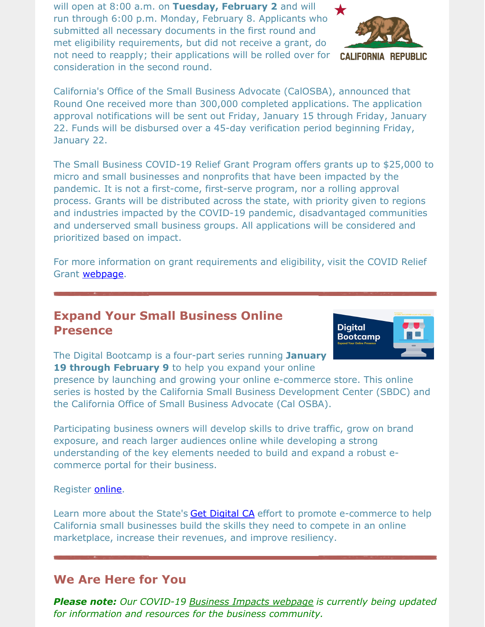will open at 8:00 a.m. on **Tuesday, February 2** and will run through 6:00 p.m. Monday, February 8. Applicants who submitted all necessary documents in the first round and met eligibility requirements, but did not receive a grant, do not need to reapply; their applications will be rolled over for consideration in the second round.



**CALIFORNIA REPUBLIC** 

California's Office of the Small Business Advocate (CalOSBA), announced that Round One received more than 300,000 completed applications. The application approval notifications will be sent out Friday, January 15 through Friday, January 22. Funds will be disbursed over a 45-day verification period beginning Friday, January 22.

The Small Business COVID-19 Relief Grant Program offers grants up to \$25,000 to micro and small businesses and nonprofits that have been impacted by the pandemic. It is not a first-come, first-serve program, nor a rolling approval process. Grants will be distributed across the state, with priority given to regions and industries impacted by the COVID-19 pandemic, disadvantaged communities and underserved small business groups. All applications will be considered and prioritized based on impact.

For more information on grant requirements and eligibility, visit the COVID Relief Grant **[webpage](https://www.californiasbdc.org/covid-19-relief-grant)**.

#### **Expand Your Small Business Online Presence**



The Digital Bootcamp is a four-part series running **January 19 through February 9** to help you expand your online

presence by launching and growing your online e-commerce store. This online series is hosted by the California Small Business Development Center (SBDC) and the California Office of Small Business Advocate (Cal OSBA).

Participating business owners will develop skills to drive traffic, grow on brand exposure, and reach larger audiences online while developing a strong understanding of the key elements needed to build and expand a robust ecommerce portal for their business.

#### Register **online**.

Learn more about the State's Get [Digital](https://business.ca.gov/advantages/small-business-innovation-and-entrepreneurship/get-digital-ca/) CA effort to promote e-commerce to help California small businesses build the skills they need to compete in an online marketplace, increase their revenues, and improve resiliency.

#### **We Are Here for You**

*Please note: Our COVID-19 Business Impacts [webpage](https://www.dublin.ca.gov/2177/COVID-19-Business-Impacts) is currently being updated for information and resources for the business community.*